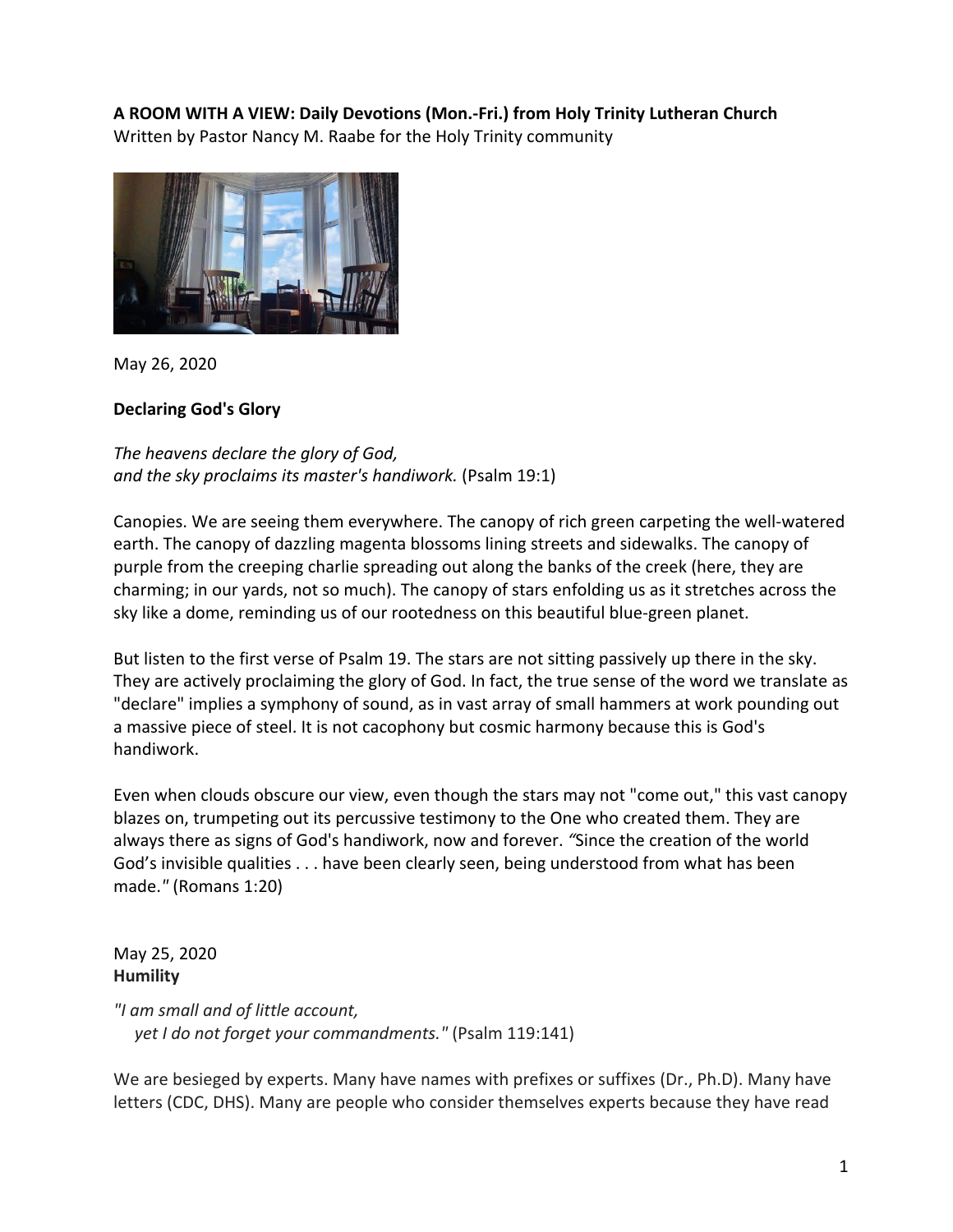## **A ROOM WITH A VIEW: Daily Devotions (Mon.-Fri.) from Holy Trinity Lutheran Church** Written by Pastor Nancy M. Raabe for the Holy Trinity community



May 26, 2020

# **Declaring God's Glory**

*The heavens declare the glory of God, and the sky proclaims its master's handiwork.* (Psalm 19:1)

Canopies. We are seeing them everywhere. The canopy of rich green carpeting the well-watered earth. The canopy of dazzling magenta blossoms lining streets and sidewalks. The canopy of purple from the creeping charlie spreading out along the banks of the creek (here, they are charming; in our yards, not so much). The canopy of stars enfolding us as it stretches across the sky like a dome, reminding us of our rootedness on this beautiful blue-green planet.

But listen to the first verse of Psalm 19. The stars are not sitting passively up there in the sky. They are actively proclaiming the glory of God. In fact, the true sense of the word we translate as "declare" implies a symphony of sound, as in vast array of small hammers at work pounding out a massive piece of steel. It is not cacophony but cosmic harmony because this is God's handiwork.

Even when clouds obscure our view, even though the stars may not "come out," this vast canopy blazes on, trumpeting out its percussive testimony to the One who created them. They are always there as signs of God's handiwork, now and forever. *"*Since the creation of the world God's invisible qualities . . . have been clearly seen, being understood from what has been made.*"* (Romans 1:20)

May 25, 2020 **Humility**

*"I am small and of little account, yet I do not forget your commandments."* (Psalm 119:141)

We are besieged by experts. Many have names with prefixes or suffixes (Dr., Ph.D). Many have letters (CDC, DHS). Many are people who consider themselves experts because they have read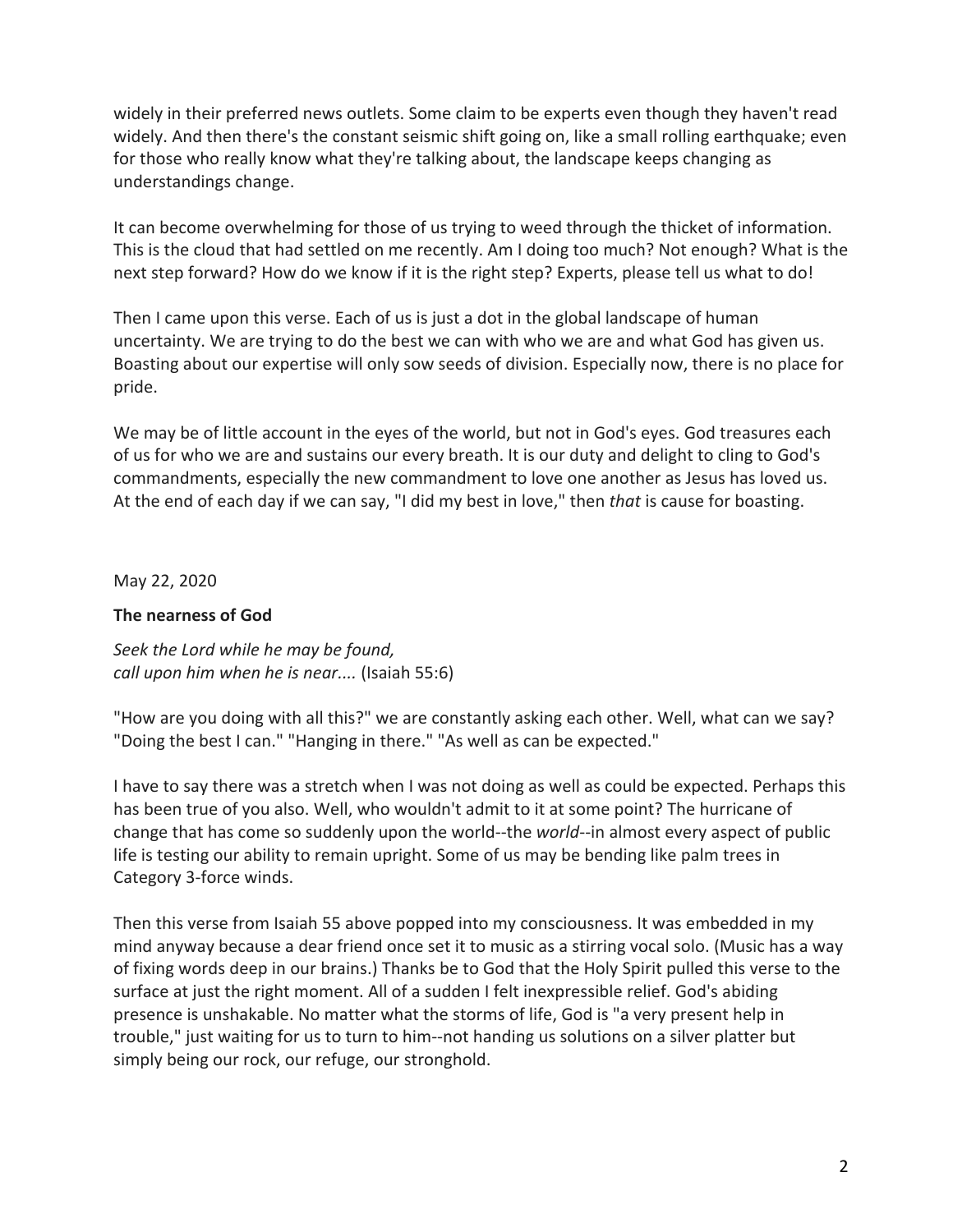widely in their preferred news outlets. Some claim to be experts even though they haven't read widely. And then there's the constant seismic shift going on, like a small rolling earthquake; even for those who really know what they're talking about, the landscape keeps changing as understandings change.

It can become overwhelming for those of us trying to weed through the thicket of information. This is the cloud that had settled on me recently. Am I doing too much? Not enough? What is the next step forward? How do we know if it is the right step? Experts, please tell us what to do!

Then I came upon this verse. Each of us is just a dot in the global landscape of human uncertainty. We are trying to do the best we can with who we are and what God has given us. Boasting about our expertise will only sow seeds of division. Especially now, there is no place for pride.

We may be of little account in the eyes of the world, but not in God's eyes. God treasures each of us for who we are and sustains our every breath. It is our duty and delight to cling to God's commandments, especially the new commandment to love one another as Jesus has loved us. At the end of each day if we can say, "I did my best in love," then *that* is cause for boasting.

May 22, 2020

# **The nearness of God**

*Seek the Lord while he may be found, call upon him when he is near....* (Isaiah 55:6)

"How are you doing with all this?" we are constantly asking each other. Well, what can we say? "Doing the best I can." "Hanging in there." "As well as can be expected."

I have to say there was a stretch when I was not doing as well as could be expected. Perhaps this has been true of you also. Well, who wouldn't admit to it at some point? The hurricane of change that has come so suddenly upon the world--the *world*--in almost every aspect of public life is testing our ability to remain upright. Some of us may be bending like palm trees in Category 3-force winds.

Then this verse from Isaiah 55 above popped into my consciousness. It was embedded in my mind anyway because a dear friend once set it to music as a stirring vocal solo. (Music has a way of fixing words deep in our brains.) Thanks be to God that the Holy Spirit pulled this verse to the surface at just the right moment. All of a sudden I felt inexpressible relief. God's abiding presence is unshakable. No matter what the storms of life, God is "a very present help in trouble," just waiting for us to turn to him--not handing us solutions on a silver platter but simply being our rock, our refuge, our stronghold.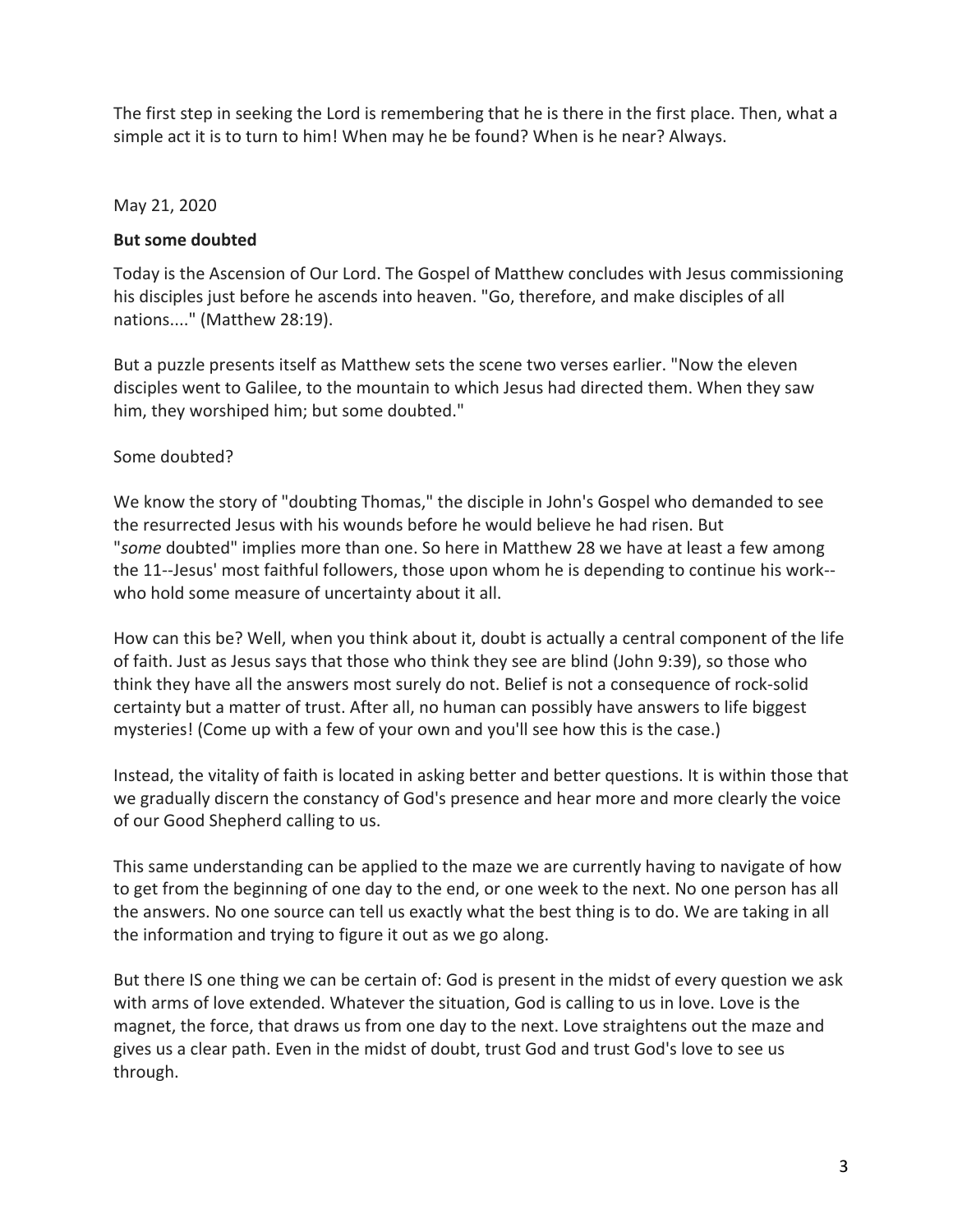The first step in seeking the Lord is remembering that he is there in the first place. Then, what a simple act it is to turn to him! When may he be found? When is he near? Always.

### May 21, 2020

### **But some doubted**

Today is the Ascension of Our Lord. The Gospel of Matthew concludes with Jesus commissioning his disciples just before he ascends into heaven. "Go, therefore, and make disciples of all nations...." (Matthew 28:19).

But a puzzle presents itself as Matthew sets the scene two verses earlier. "Now the eleven disciples went to Galilee, to the mountain to which Jesus had directed them. When they saw him, they worshiped him; but some doubted."

# Some doubted?

We know the story of "doubting Thomas," the disciple in John's Gospel who demanded to see the resurrected Jesus with his wounds before he would believe he had risen. But "*some* doubted" implies more than one. So here in Matthew 28 we have at least a few among the 11--Jesus' most faithful followers, those upon whom he is depending to continue his work- who hold some measure of uncertainty about it all.

How can this be? Well, when you think about it, doubt is actually a central component of the life of faith. Just as Jesus says that those who think they see are blind (John 9:39), so those who think they have all the answers most surely do not. Belief is not a consequence of rock-solid certainty but a matter of trust. After all, no human can possibly have answers to life biggest mysteries! (Come up with a few of your own and you'll see how this is the case.)

Instead, the vitality of faith is located in asking better and better questions. It is within those that we gradually discern the constancy of God's presence and hear more and more clearly the voice of our Good Shepherd calling to us.

This same understanding can be applied to the maze we are currently having to navigate of how to get from the beginning of one day to the end, or one week to the next. No one person has all the answers. No one source can tell us exactly what the best thing is to do. We are taking in all the information and trying to figure it out as we go along.

But there IS one thing we can be certain of: God is present in the midst of every question we ask with arms of love extended. Whatever the situation, God is calling to us in love. Love is the magnet, the force, that draws us from one day to the next. Love straightens out the maze and gives us a clear path. Even in the midst of doubt, trust God and trust God's love to see us through.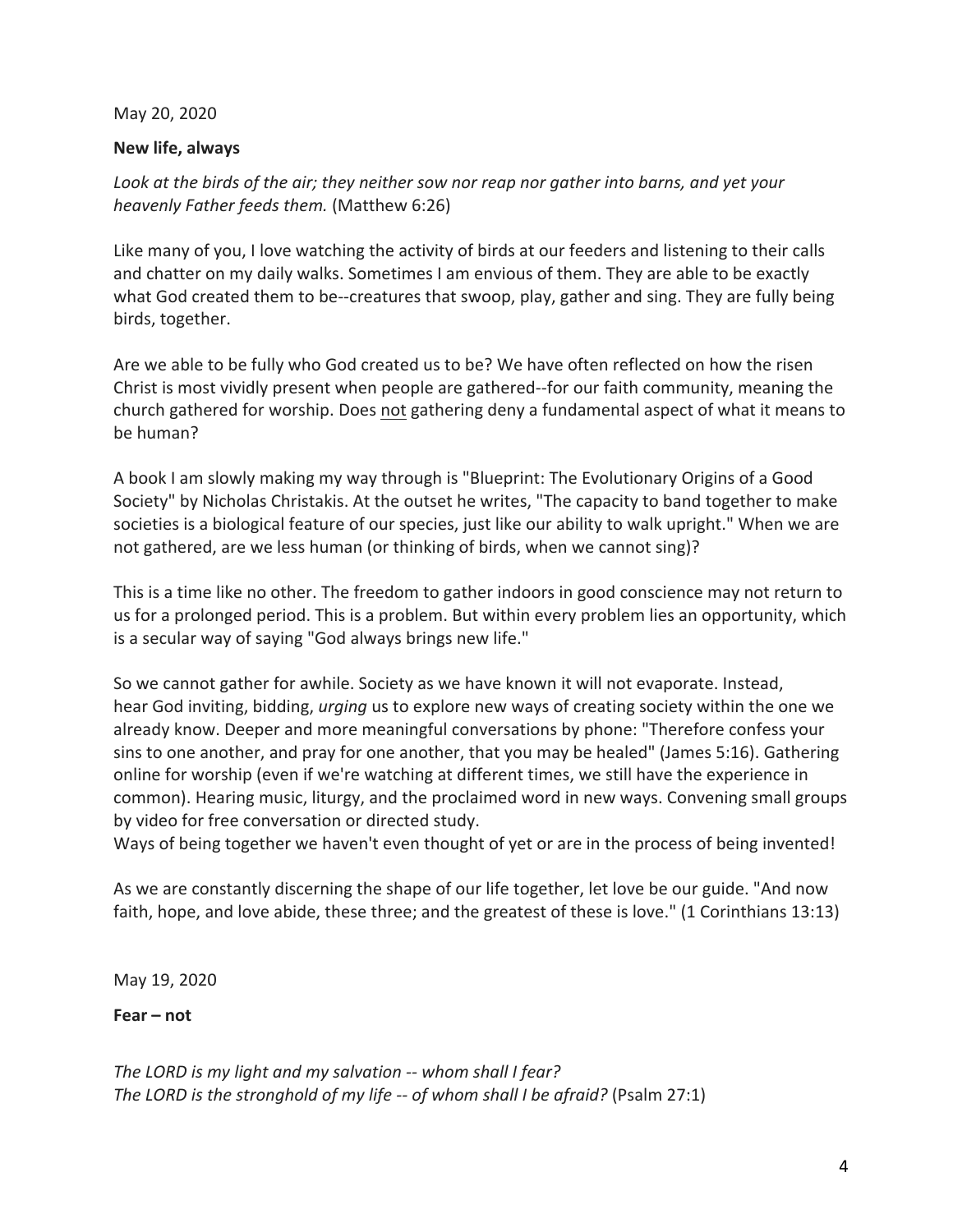May 20, 2020

# **New life, always**

*Look at the birds of the air; they neither sow nor reap nor gather into barns, and yet your heavenly Father feeds them.* (Matthew 6:26)

Like many of you, I love watching the activity of birds at our feeders and listening to their calls and chatter on my daily walks. Sometimes I am envious of them. They are able to be exactly what God created them to be--creatures that swoop, play, gather and sing. They are fully being birds, together.

Are we able to be fully who God created us to be? We have often reflected on how the risen Christ is most vividly present when people are gathered--for our faith community, meaning the church gathered for worship. Does not gathering deny a fundamental aspect of what it means to be human?

A book I am slowly making my way through is "Blueprint: The Evolutionary Origins of a Good Society" by Nicholas Christakis. At the outset he writes, "The capacity to band together to make societies is a biological feature of our species, just like our ability to walk upright." When we are not gathered, are we less human (or thinking of birds, when we cannot sing)?

This is a time like no other. The freedom to gather indoors in good conscience may not return to us for a prolonged period. This is a problem. But within every problem lies an opportunity, which is a secular way of saying "God always brings new life."

So we cannot gather for awhile. Society as we have known it will not evaporate. Instead, hear God inviting, bidding, *urging* us to explore new ways of creating society within the one we already know. Deeper and more meaningful conversations by phone: "Therefore confess your sins to one another, and pray for one another, that you may be healed" (James 5:16). Gathering online for worship (even if we're watching at different times, we still have the experience in common). Hearing music, liturgy, and the proclaimed word in new ways. Convening small groups by video for free conversation or directed study.

Ways of being together we haven't even thought of yet or are in the process of being invented!

As we are constantly discerning the shape of our life together, let love be our guide. "And now faith, hope, and love abide, these three; and the greatest of these is love." (1 Corinthians 13:13)

May 19, 2020

**Fear – not**

*The LORD is my light and my salvation -- whom shall I fear? The LORD is the stronghold of my life -- of whom shall I be afraid?* (Psalm 27:1)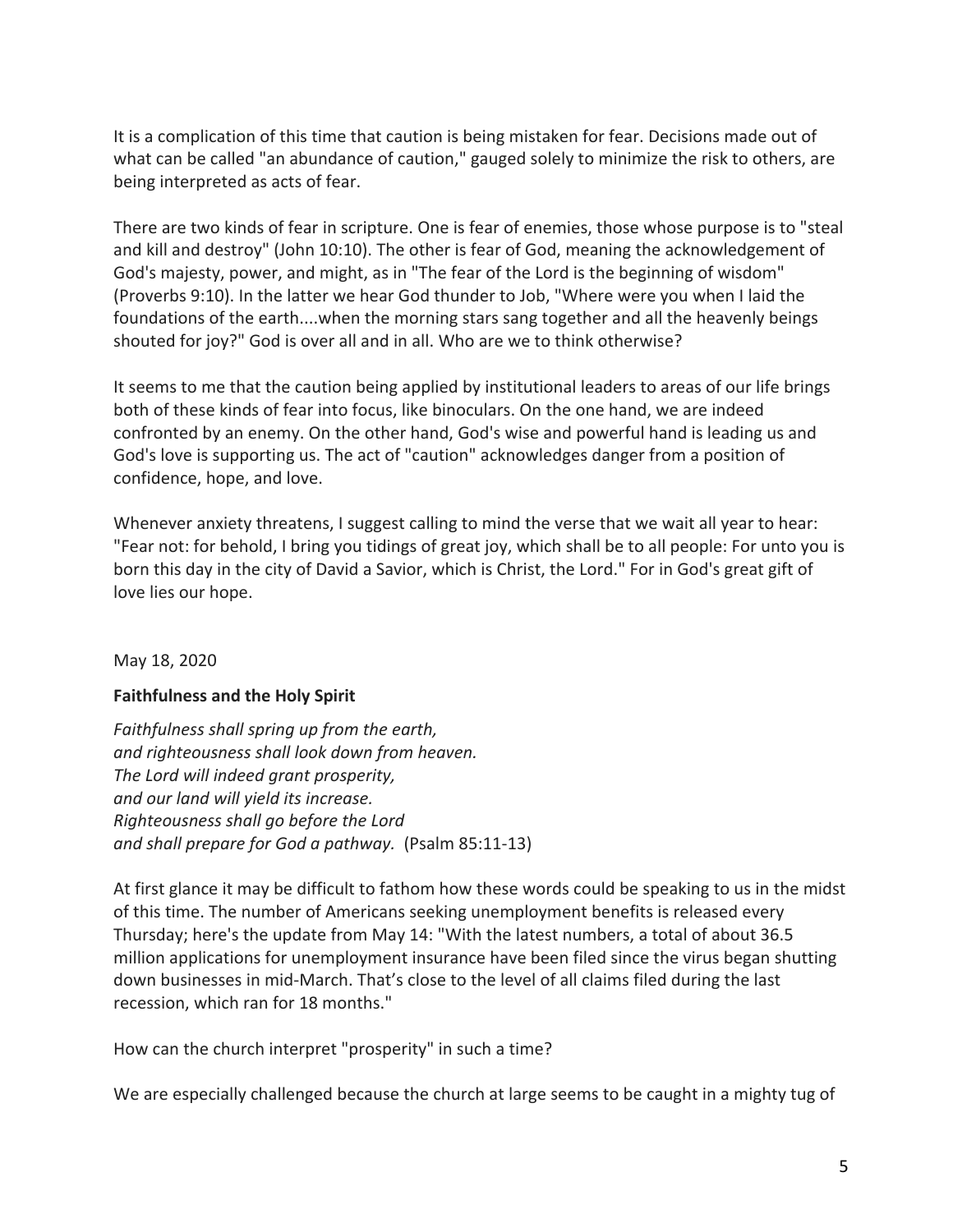It is a complication of this time that caution is being mistaken for fear. Decisions made out of what can be called "an abundance of caution," gauged solely to minimize the risk to others, are being interpreted as acts of fear.

There are two kinds of fear in scripture. One is fear of enemies, those whose purpose is to "steal and kill and destroy" (John 10:10). The other is fear of God, meaning the acknowledgement of God's majesty, power, and might, as in "The fear of the Lord is the beginning of wisdom" (Proverbs 9:10). In the latter we hear God thunder to Job, "Where were you when I laid the foundations of the earth....when the morning stars sang together and all the heavenly beings shouted for joy?" God is over all and in all. Who are we to think otherwise?

It seems to me that the caution being applied by institutional leaders to areas of our life brings both of these kinds of fear into focus, like binoculars. On the one hand, we are indeed confronted by an enemy. On the other hand, God's wise and powerful hand is leading us and God's love is supporting us. The act of "caution" acknowledges danger from a position of confidence, hope, and love.

Whenever anxiety threatens, I suggest calling to mind the verse that we wait all year to hear: "Fear not: for behold, I bring you tidings of great joy, which shall be to all people: For unto you is born this day in the city of David a Savior, which is Christ, the Lord." For in God's great gift of love lies our hope.

#### May 18, 2020

#### **Faithfulness and the Holy Spirit**

*Faithfulness shall spring up from the earth, and righteousness shall look down from heaven. The Lord will indeed grant prosperity, and our land will yield its increase. Righteousness shall go before the Lord and shall prepare for God a pathway.* (Psalm 85:11-13)

At first glance it may be difficult to fathom how these words could be speaking to us in the midst of this time. The number of Americans seeking unemployment benefits is released every Thursday; here's the update from May 14: "With the latest numbers, a total of about 36.5 million applications for unemployment insurance have been filed since the virus began shutting down businesses in mid-March. That's close to the level of all claims filed during the last recession, which ran for 18 months."

How can the church interpret "prosperity" in such a time?

We are especially challenged because the church at large seems to be caught in a mighty tug of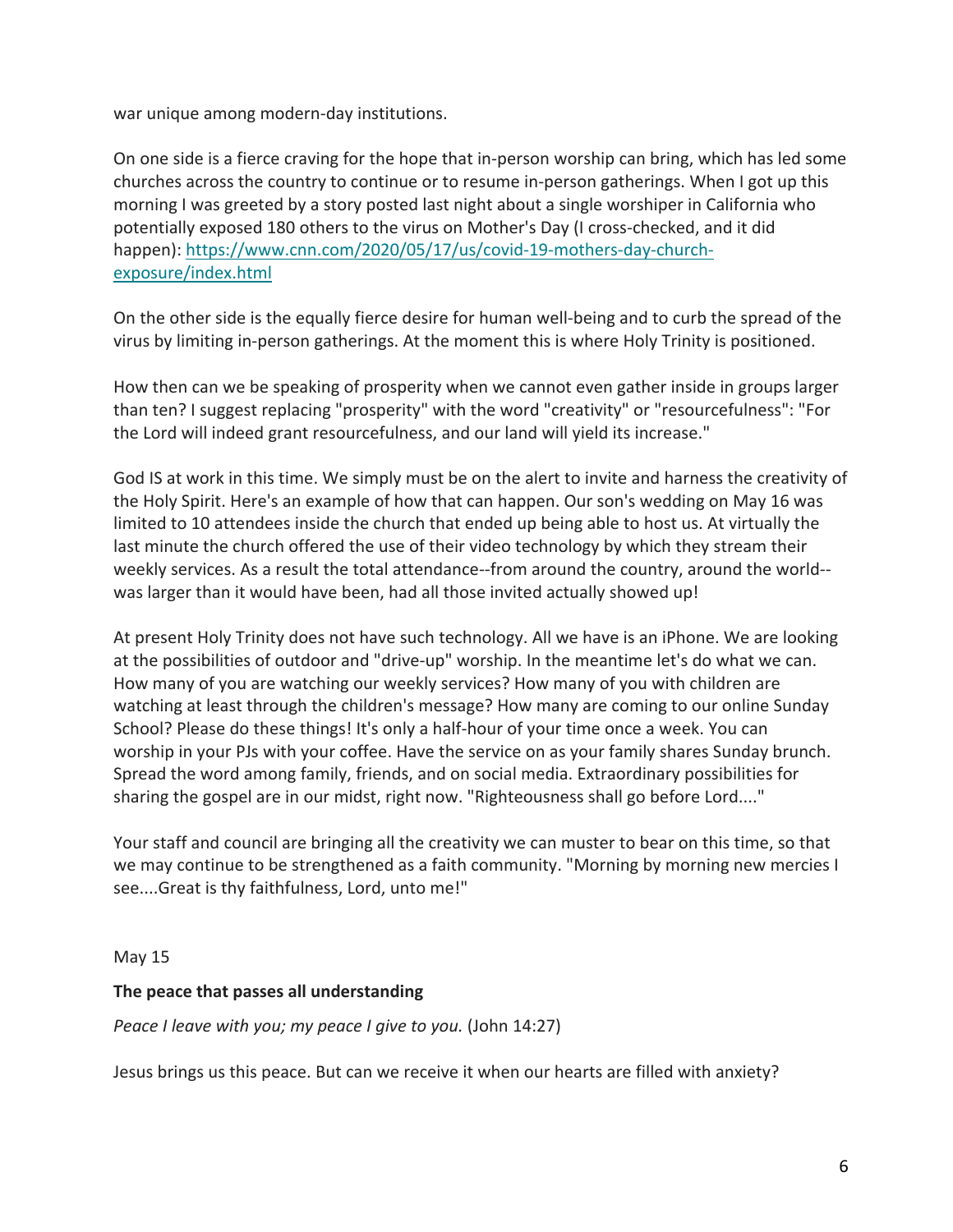war unique among modern-day institutions.

On one side is a fierce craving for the hope that in-person worship can bring, which has led some churches across the country to continue or to resume in-person gatherings. When I got up this morning I was greeted by a story posted last night about a single worshiper in California who potentially exposed 180 others to the virus on Mother's Day (I cross-checked, and it did happen): https://www.cnn.com/2020/05/17/us/covid-19-mothers-day-churchexposure/index.html

On the other side is the equally fierce desire for human well-being and to curb the spread of the virus by limiting in-person gatherings. At the moment this is where Holy Trinity is positioned.

How then can we be speaking of prosperity when we cannot even gather inside in groups larger than ten? I suggest replacing "prosperity" with the word "creativity" or "resourcefulness": "For the Lord will indeed grant resourcefulness, and our land will yield its increase."

God IS at work in this time. We simply must be on the alert to invite and harness the creativity of the Holy Spirit. Here's an example of how that can happen. Our son's wedding on May 16 was limited to 10 attendees inside the church that ended up being able to host us. At virtually the last minute the church offered the use of their video technology by which they stream their weekly services. As a result the total attendance--from around the country, around the world- was larger than it would have been, had all those invited actually showed up!

At present Holy Trinity does not have such technology. All we have is an iPhone. We are looking at the possibilities of outdoor and "drive-up" worship. In the meantime let's do what we can. How many of you are watching our weekly services? How many of you with children are watching at least through the children's message? How many are coming to our online Sunday School? Please do these things! It's only a half-hour of your time once a week. You can worship in your PJs with your coffee. Have the service on as your family shares Sunday brunch. Spread the word among family, friends, and on social media. Extraordinary possibilities for sharing the gospel are in our midst, right now. "Righteousness shall go before Lord...."

Your staff and council are bringing all the creativity we can muster to bear on this time, so that we may continue to be strengthened as a faith community. "Morning by morning new mercies I see....Great is thy faithfulness, Lord, unto me!"

May 15

# **The peace that passes all understanding**

*Peace I leave with you; my peace I give to you.* (John 14:27)

Jesus brings us this peace. But can we receive it when our hearts are filled with anxiety?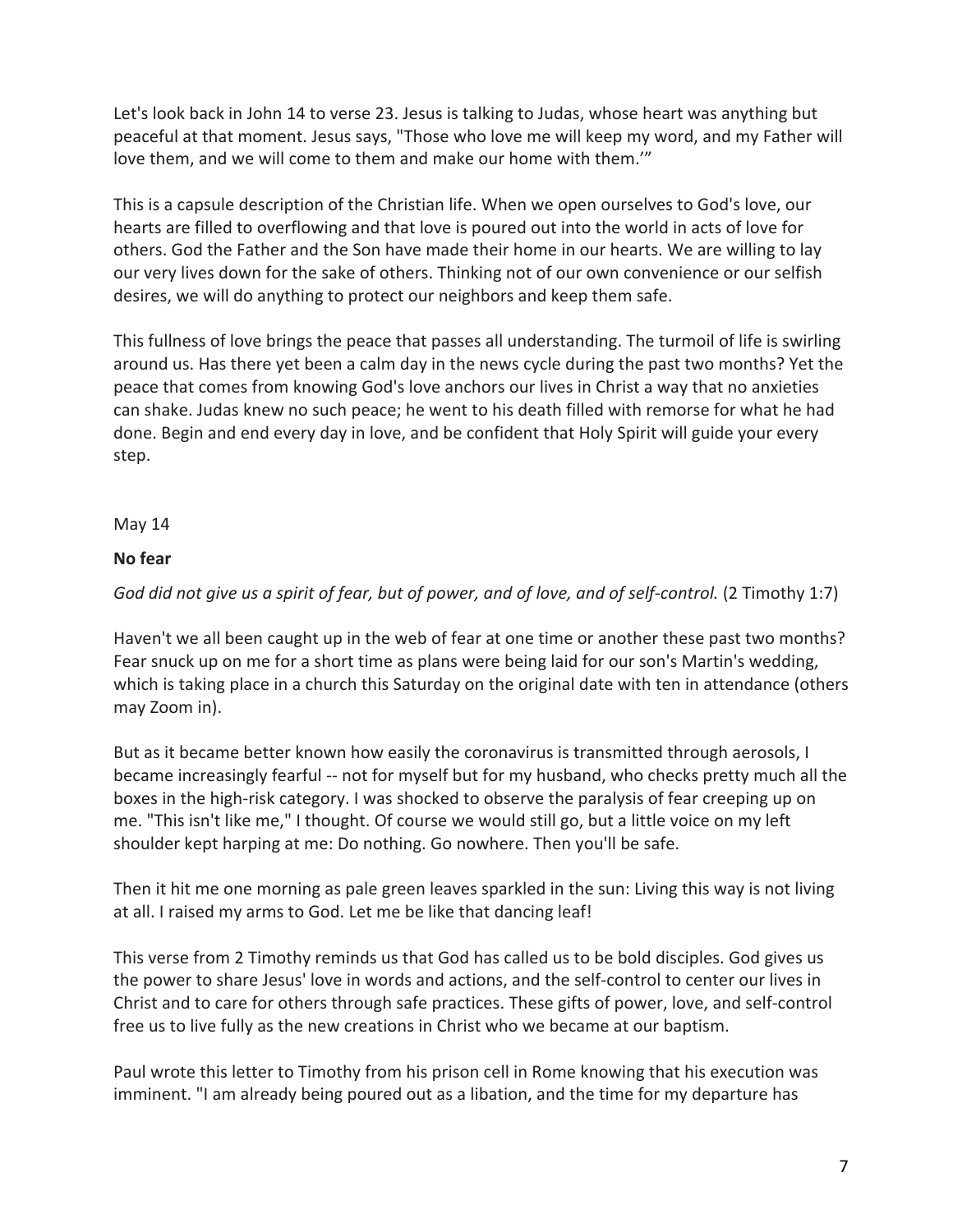Let's look back in John 14 to verse 23. Jesus is talking to Judas, whose heart was anything but peaceful at that moment. Jesus says, "Those who love me will keep my word, and my Father will love them, and we will come to them and make our home with them.'"

This is a capsule description of the Christian life. When we open ourselves to God's love, our hearts are filled to overflowing and that love is poured out into the world in acts of love for others. God the Father and the Son have made their home in our hearts. We are willing to lay our very lives down for the sake of others. Thinking not of our own convenience or our selfish desires, we will do anything to protect our neighbors and keep them safe.

This fullness of love brings the peace that passes all understanding. The turmoil of life is swirling around us. Has there yet been a calm day in the news cycle during the past two months? Yet the peace that comes from knowing God's love anchors our lives in Christ a way that no anxieties can shake. Judas knew no such peace; he went to his death filled with remorse for what he had done. Begin and end every day in love, and be confident that Holy Spirit will guide your every step.

May 14

# **No fear**

*God did not give us a spirit of fear, but of power, and of love, and of self-control.* (2 Timothy 1:7)

Haven't we all been caught up in the web of fear at one time or another these past two months? Fear snuck up on me for a short time as plans were being laid for our son's Martin's wedding, which is taking place in a church this Saturday on the original date with ten in attendance (others may Zoom in).

But as it became better known how easily the coronavirus is transmitted through aerosols, I became increasingly fearful -- not for myself but for my husband, who checks pretty much all the boxes in the high-risk category. I was shocked to observe the paralysis of fear creeping up on me. "This isn't like me," I thought. Of course we would still go, but a little voice on my left shoulder kept harping at me: Do nothing. Go nowhere. Then you'll be safe.

Then it hit me one morning as pale green leaves sparkled in the sun: Living this way is not living at all. I raised my arms to God. Let me be like that dancing leaf!

This verse from 2 Timothy reminds us that God has called us to be bold disciples. God gives us the power to share Jesus' love in words and actions, and the self-control to center our lives in Christ and to care for others through safe practices. These gifts of power, love, and self-control free us to live fully as the new creations in Christ who we became at our baptism.

Paul wrote this letter to Timothy from his prison cell in Rome knowing that his execution was imminent. "I am already being poured out as a libation, and the time for my departure has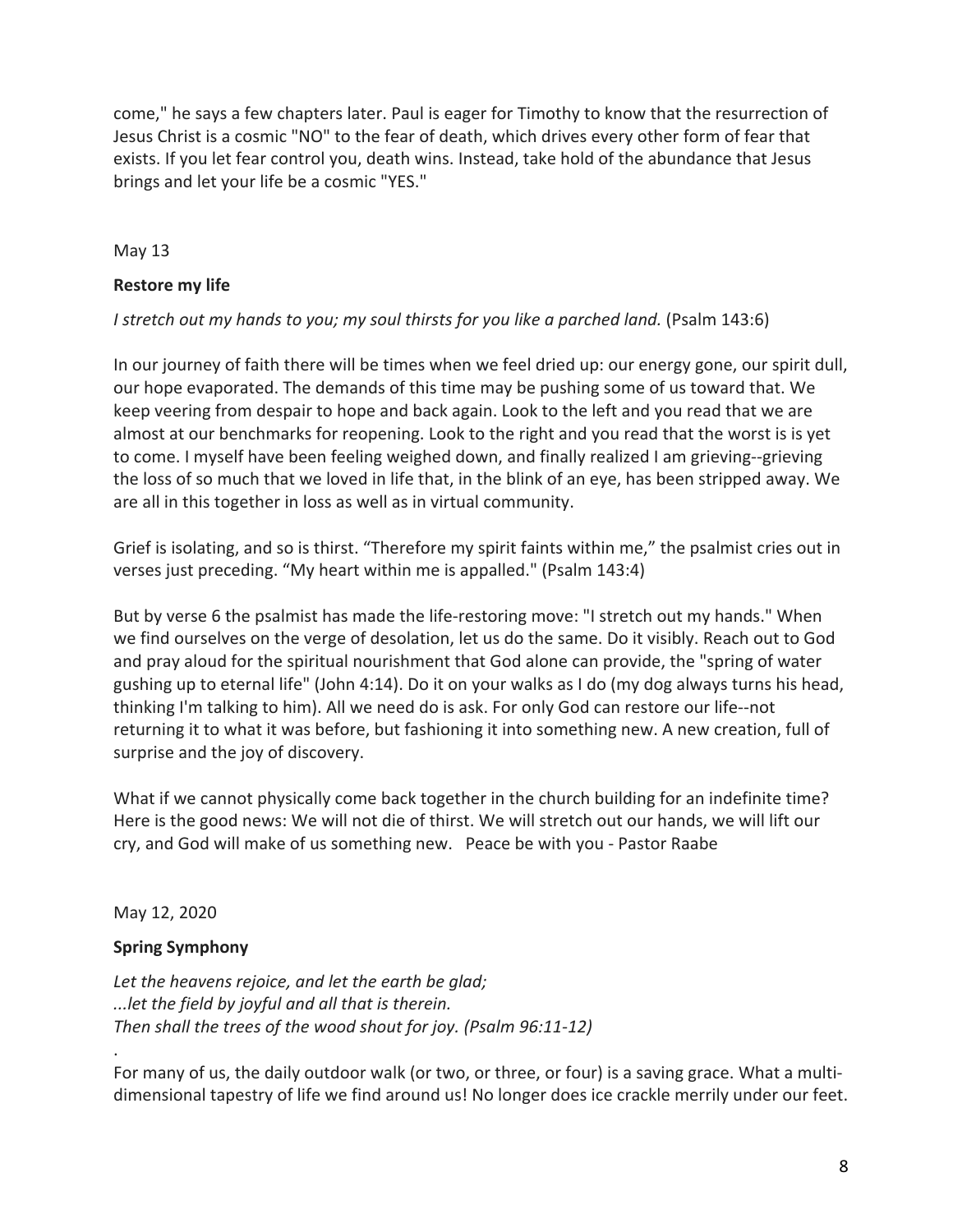come," he says a few chapters later. Paul is eager for Timothy to know that the resurrection of Jesus Christ is a cosmic "NO" to the fear of death, which drives every other form of fear that exists. If you let fear control you, death wins. Instead, take hold of the abundance that Jesus brings and let your life be a cosmic "YES."

May 13

### **Restore my life**

### *I stretch out my hands to you; my soul thirsts for you like a parched land.* (Psalm 143:6)

In our journey of faith there will be times when we feel dried up: our energy gone, our spirit dull, our hope evaporated. The demands of this time may be pushing some of us toward that. We keep veering from despair to hope and back again. Look to the left and you read that we are almost at our benchmarks for reopening. Look to the right and you read that the worst is is yet to come. I myself have been feeling weighed down, and finally realized I am grieving--grieving the loss of so much that we loved in life that, in the blink of an eye, has been stripped away. We are all in this together in loss as well as in virtual community.

Grief is isolating, and so is thirst. "Therefore my spirit faints within me," the psalmist cries out in verses just preceding. "My heart within me is appalled." (Psalm 143:4)

But by verse 6 the psalmist has made the life-restoring move: "I stretch out my hands." When we find ourselves on the verge of desolation, let us do the same. Do it visibly. Reach out to God and pray aloud for the spiritual nourishment that God alone can provide, the "spring of water gushing up to eternal life" (John 4:14). Do it on your walks as I do (my dog always turns his head, thinking I'm talking to him). All we need do is ask. For only God can restore our life--not returning it to what it was before, but fashioning it into something new. A new creation, full of surprise and the joy of discovery.

What if we cannot physically come back together in the church building for an indefinite time? Here is the good news: We will not die of thirst. We will stretch out our hands, we will lift our cry, and God will make of us something new. Peace be with you - Pastor Raabe

May 12, 2020

.

# **Spring Symphony**

*Let the heavens rejoice, and let the earth be glad; ...let the field by joyful and all that is therein. Then shall the trees of the wood shout for joy. (Psalm 96:11-12)*

For many of us, the daily outdoor walk (or two, or three, or four) is a saving grace. What a multidimensional tapestry of life we find around us! No longer does ice crackle merrily under our feet.